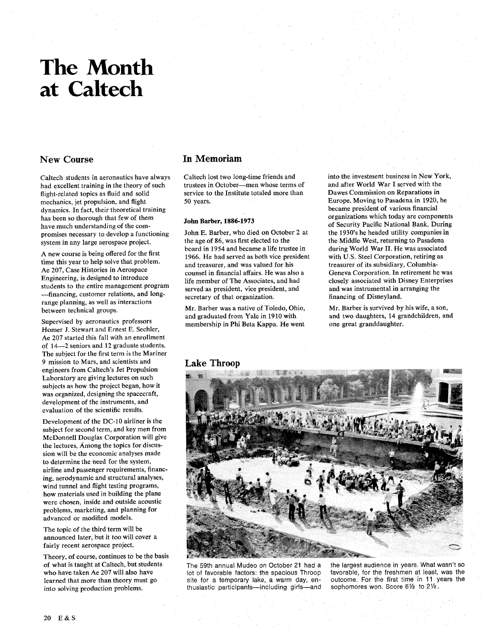# **The Month at Caltech**

#### **New Course**

Caltech students in aeronautics have always had excellent training in the theory of such flight-related topics as fluid and solid mechanics, jet propulsion, and flight dynamics. In fact, their theoretical training has been so thorough that few of them have much understanding of the compromises necessary to develop a functioning system in any large aerospace project.

A new course is being offered for the first time this year to help solve that problem. Ae 207, Case Histories in Aerospace Engineering, is designed to introduce students to the entire management program -financing, customer relations, and longrange planning, as well as interactions between technical groups.

Supervised by aeronautics professors Homer J. Stewart and Ernest E. Sechler, Ae 207 started this fall with an enrollment of 14-2 seniors and 12 graduate students. The subject for the first term is the Mariner 9 mission to Mars, and scientists and engineers from Caltech's Jet Propulsion Laboratory are giving lectures on such subjects as how the project began, how it was organized, designing the spacecraft, development of the instruments, and evaluation of the scientific results.

Development of the DC-10 airliner is the subject for second term, and key men from McDonnell Douglas Corporation will give the lectures. Among the topics for discussion will be the economic analyses made to determine the need for the system, airline and passenger requirements, financing, aerodynamic and structural analyses, wind tunnel and flight testing programs, how materials used in building the plane were chosen, inside and outside acoustic problems, marketing, and planning for advanced or modified models.

The topic of the third term will be announced later, but it too will cover a fairly recent aerospace project.

Theory, of course, continues to be the basis of what is taught at Caltech, but students who have taken Ae 207 will also have learned that more than theory must go into solving production problems.

#### **Im Memoriam**

Caltech lost two long-time friends and into the investment business in New York,<br>trustees in October—men whose terms of and after World War I served with the trustees in October—men whose terms of and after World War I served with the service to the Institute totaled more than Dawes Commission on Reparations in service to the Institute totaled more than 50 years. Europe. Moving to Pasadena in 1920, he

#### **John Barber, 1886-1973**

John E. Barber, who died on October 2 at the age of 86, was first elected to the board in 1954 and became a life trustee in 1966. He had served as both vice president and treasurer, and was valued for his counsel in financial affairs. He was also a life member of The Associates, and had served as president, vice president, and secretary of that organization.

membership in Phi Beta Kappa. He went

became president of various financial organizations which today are components of Security Pacific National Bank. During the 1930's he headed utility companies in the Middle West, returning to Pasadena during World War 11. He was associated with U.S. Steel Corporation, retiring as treasurer of its subsidiary, Columbia-Geneva Corporation. In retirement he was closely associated with Disney Enterprises and was instrumental in arranging the financing of Disneyland.

Mr. Barber was a native of Toledo, Ohio, Mr. Barber is survived by his wife, a son, and graduated from Yale in 1910 with and two daughters, 14 grandchildren, and and two daughters, 14 grandchildren, and one great granddaughter.

#### **Lake Throor,**



site for a temporary lake, a warm day, en-<br>thusiastic participants—including girls—and sophomores won. Score 6½ to 2½. thusiastic participants-including girls-and

The 59th annual Mudeo on October 21 had a the largest audience in years. What wasn't so lot of favorable factors: the spacious Throop favorable, for the freshmen at least, was the favorable, for the freshmen at least, was the<br>outcome. For the first time in 11 years the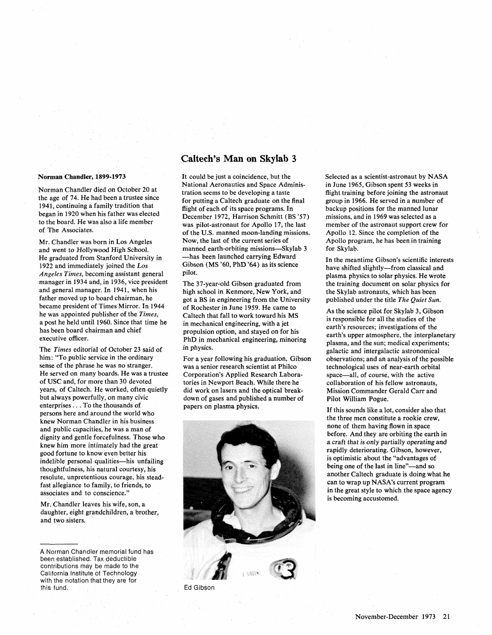#### **Norman Chandler, 1899-1973**

Norman Chandler died on October 20 at the age of 74. He had been a trustee since 1941, continuing a family tradition that began in 1920 when his father was elected to the board. He was also a life member of The Associates.

Mr. Chandler was born in Los Angeles and went to Hollywood High School. He graduated from Stanford University in 1922 and immediately joined the Los Angeles Times, becoming assistant general manager in 1934 and, in 1936, vice president and general manager. In 1941, when his father moved up to board chairman, he became president of Times Mirror. In 1944 he was appointed publisher of the Times, a post he held until 1960. Since that time he has been board chairman and chief executive officer.

The Times editorial of October 23 said of him: "To public service in the ordinary sense of the phrase he was no stranger. He served on many boards. He was a trustee of USC and, for more than 30 devoted years, of Caltech. He worked, often quietly but always powerfully, on many civic enterprises . . . To the thousands of persons here and around the world who knew Norman Chandler in his business and public capacities, he was a man of dignity and gentle forcefulness. Those who knew him more intimately had the great good fortune to know even better his indelible personal qualities-his unfailing thoughtfulness, his natural courtesy, his resolute, unpretentious courage, his steadfast allegiance to family, to friends, to associates and to conscience."

Mr. Chandler leaves his wife, son, a daughter, eight grandchildren, a brother, and two sisters.

#### **Caltech's Man on Skylab 3**

It could be just a coincidence, but the National Aeronautics and Space Administration seems to be developing a taste for putting a Caltech graduate on the final flight of each of its space programs. In December 1972, Harrison Schmitt (BS '57) was pilot-astronaut for Apollo 17, the last of the U.S. manned moon-landing missions. Now, the last of the current series of manned earth-orbiting missions--Skylab **3**  -has been launched carrying Edward Gibson (MS '60, PhD '64) as its science pilot.

The 37-year-old Gibson graduated from high school in Kenmore, New York, and got a BS in engineering from the University of Rochester in June 1959. He came to Caltech that fall to work toward his MS in mechanical engineering, with a jet propulsion option, and stayed on for his PhD in mechanical engineering, minoring in physics.

For a year following his graduation, Gibson was a senior research scientist at Philco Corporation's Applied Research Laboratories in Newport Beach. While there he did work on lasers and the optical breakdown of gases and published a number of papers on plasma physics.



Selected as a scientist-astronaut by NASA in June 1965, Gibson spent 53 weeks in flight training before joining the astronaut group in 1966. He served in a number of backup positions for the manned lunar missions, and in 1969 was selected as a member of the astronaut support crew for Apollo 12. Since the completion of the Apollo program, he has been in training for Skylab.

In the meantime Gibson's scientific interests have shifted slightly-from classical and plasma physics to solar physics. He wrote the training document on solar physics for the Skylab astronauts, which has been published under the title The Quiet Sun.

As the science pilot for Skylab 3, Gibson is responsible for all the studies of the earth's resources; investigations of the earth's upper atmosphere, the interplanetary plasma, and the sun; medical experiments; galactic and intergalactic astronomical observations; and an analysis of the possible technological uses of near-earth orbital space-all, of course, with the active collaboration of his fellow astronauts, Mission Commander Gerald Carr and Pilot William Pogue.

If this sounds like a lot, consider also that the three men constitute a rookie crew, none of them having flown in space before. And they are orbiting the earth in a craft that is only partially operating and rapidly deteriorating. Gibson, however, is optimistic about the "advantages of being one of the last in line"-and so another Caltech graduate is doing what he can to wrap up NASA's current program in the great style to which the space agency is becoming accustomed.

A Norman Chandler memorial fund has been established. Tax deductible contributions may be made to the California Institute of Technology with the notation that they are for this fund.